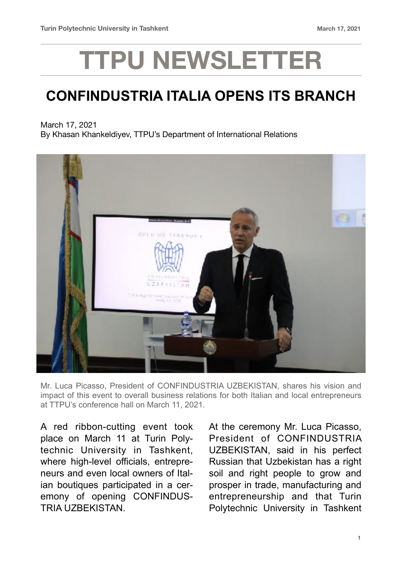## **TTPU NEWSLETTER**

## **CONFINDUSTRIA ITALIA OPENS ITS BRANCH**

March 17, 2021

By Khasan Khankeldiyev, TTPU's Department of International Relations



Mr. Luca Picasso, President of CONFINDUSTRIA UZBEKISTAN, shares his vision and impact of this event to overall business relations for both Italian and local entrepreneurs at TTPU's conference hall on March 11, 2021.

A red ribbon-cutting event took place on March 11 at Turin Polytechnic University in Tashkent, where high-level officials, entrepreneurs and even local owners of Italian boutiques participated in a ceremony of opening CONFINDUS-TRIA UZBEKISTAN.

At the ceremony Mr. Luca Picasso, President of CONFINDUSTRIA UZBEKISTAN, said in his perfect Russian that Uzbekistan has a right soil and right people to grow and prosper in trade, manufacturing and entrepreneurship and that Turin Polytechnic University in Tashkent